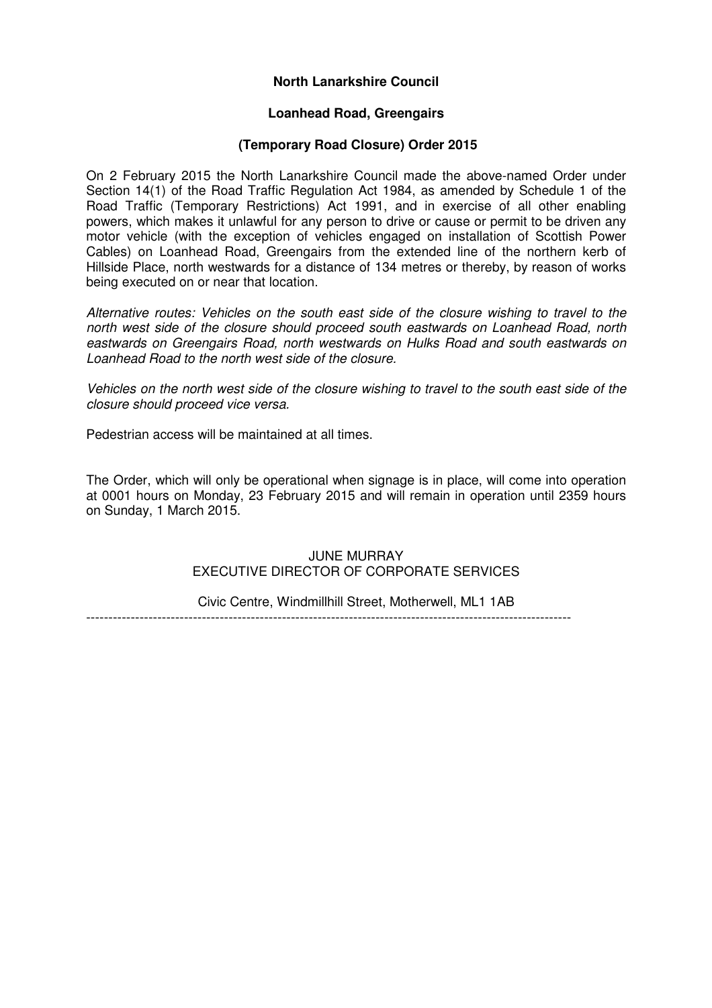## **North Lanarkshire Council**

#### **Loanhead Road, Greengairs**

#### **(Temporary Road Closure) Order 2015**

On 2 February 2015 the North Lanarkshire Council made the above-named Order under Section 14(1) of the Road Traffic Regulation Act 1984, as amended by Schedule 1 of the Road Traffic (Temporary Restrictions) Act 1991, and in exercise of all other enabling powers, which makes it unlawful for any person to drive or cause or permit to be driven any motor vehicle (with the exception of vehicles engaged on installation of Scottish Power Cables) on Loanhead Road, Greengairs from the extended line of the northern kerb of Hillside Place, north westwards for a distance of 134 metres or thereby, by reason of works being executed on or near that location.

Alternative routes: Vehicles on the south east side of the closure wishing to travel to the north west side of the closure should proceed south eastwards on Loanhead Road, north eastwards on Greengairs Road, north westwards on Hulks Road and south eastwards on Loanhead Road to the north west side of the closure.

Vehicles on the north west side of the closure wishing to travel to the south east side of the closure should proceed vice versa.

Pedestrian access will be maintained at all times.

The Order, which will only be operational when signage is in place, will come into operation at 0001 hours on Monday, 23 February 2015 and will remain in operation until 2359 hours on Sunday, 1 March 2015.

### JUNE MURRAY EXECUTIVE DIRECTOR OF CORPORATE SERVICES

Civic Centre, Windmillhill Street, Motherwell, ML1 1AB

-------------------------------------------------------------------------------------------------------------